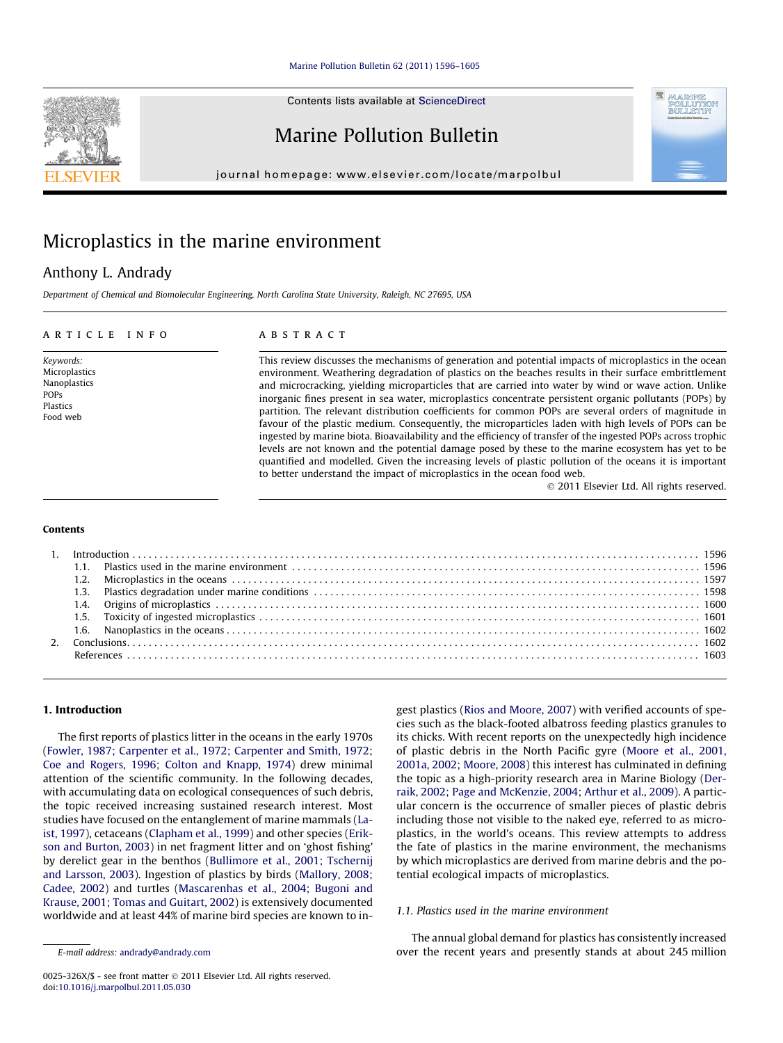Contents lists available at [ScienceDirect](http://www.sciencedirect.com/science/journal/0025326X)

# Marine Pollution Bulletin

journal homepage: [www.elsevier.com/locate/marpolbul](http://www.elsevier.com/locate/marpolbul)

# Microplastics in the marine environment

## Anthony L. Andrady

Department of Chemical and Biomolecular Engineering, North Carolina State University, Raleigh, NC 27695, USA

## article info

## **ABSTRACT**

This review discusses the mechanisms of generation and potential impacts of microplastics in the ocean environment. Weathering degradation of plastics on the beaches results in their surface embrittlement and microcracking, yielding microparticles that are carried into water by wind or wave action. Unlike inorganic fines present in sea water, microplastics concentrate persistent organic pollutants (POPs) by partition. The relevant distribution coefficients for common POPs are several orders of magnitude in favour of the plastic medium. Consequently, the microparticles laden with high levels of POPs can be ingested by marine biota. Bioavailability and the efficiency of transfer of the ingested POPs across trophic levels are not known and the potential damage posed by these to the marine ecosystem has yet to be quantified and modelled. Given the increasing levels of plastic pollution of the oceans it is important to better understand the impact of microplastics in the ocean food web.

- 2011 Elsevier Ltd. All rights reserved.

#### Contents

Keywords: Microplastics Nanoplastics POPs Plastics Food web

### 1. Introduction

The first reports of plastics litter in the oceans in the early 1970s ([Fowler, 1987; Carpenter et al., 1972; Carpenter and Smith, 1972;](#page-7-0) [Coe and Rogers, 1996; Colton and Knapp, 1974\)](#page-7-0) drew minimal attention of the scientific community. In the following decades, with accumulating data on ecological consequences of such debris, the topic received increasing sustained research interest. Most studies have focused on the entanglement of marine mammals [\(La](#page-8-0)[ist, 1997\)](#page-8-0), cetaceans [\(Clapham et al., 1999\)](#page-7-0) and other species ([Erik](#page-7-0)[son and Burton, 2003](#page-7-0)) in net fragment litter and on 'ghost fishing' by derelict gear in the benthos [\(Bullimore et al., 2001; Tschernij](#page-7-0) [and Larsson, 2003](#page-7-0)). Ingestion of plastics by birds ([Mallory, 2008;](#page-8-0) [Cadee, 2002\)](#page-8-0) and turtles ([Mascarenhas et al., 2004; Bugoni and](#page-8-0) [Krause, 2001; Tomas and Guitart, 2002\)](#page-8-0) is extensively documented worldwide and at least 44% of marine bird species are known to ingest plastics [\(Rios and Moore, 2007](#page-8-0)) with verified accounts of species such as the black-footed albatross feeding plastics granules to its chicks. With recent reports on the unexpectedly high incidence of plastic debris in the North Pacific gyre ([Moore et al., 2001,](#page-8-0) [2001a, 2002; Moore, 2008](#page-8-0)) this interest has culminated in defining the topic as a high-priority research area in Marine Biology ([Der](#page-7-0)[raik, 2002; Page and McKenzie, 2004; Arthur et al., 2009\)](#page-7-0). A particular concern is the occurrence of smaller pieces of plastic debris including those not visible to the naked eye, referred to as microplastics, in the world's oceans. This review attempts to address the fate of plastics in the marine environment, the mechanisms by which microplastics are derived from marine debris and the potential ecological impacts of microplastics.

#### 1.1. Plastics used in the marine environment

The annual global demand for plastics has consistently increased over the recent years and presently stands at about 245 million





E-mail address: [andrady@andrady.com](mailto:andrady@andrady.com)

<sup>0025-326</sup>X/\$ - see front matter © 2011 Elsevier Ltd. All rights reserved. doi:[10.1016/j.marpolbul.2011.05.030](http://dx.doi.org/10.1016/j.marpolbul.2011.05.030)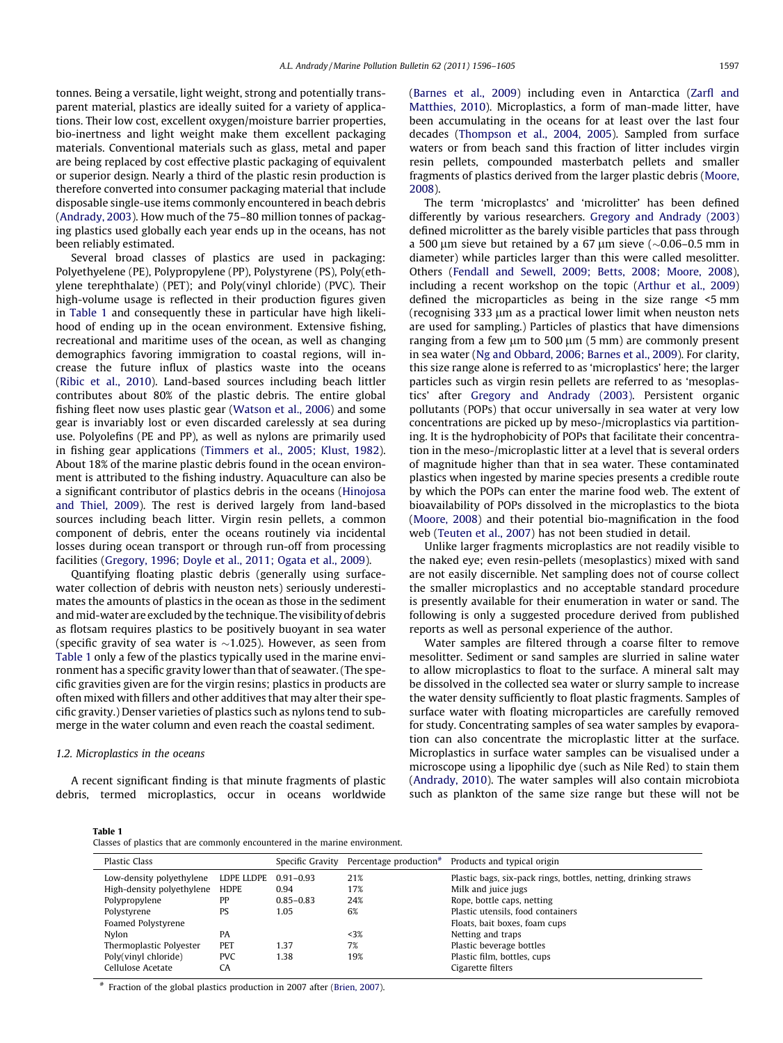tonnes. Being a versatile, light weight, strong and potentially transparent material, plastics are ideally suited for a variety of applications. Their low cost, excellent oxygen/moisture barrier properties, bio-inertness and light weight make them excellent packaging materials. Conventional materials such as glass, metal and paper are being replaced by cost effective plastic packaging of equivalent or superior design. Nearly a third of the plastic resin production is therefore converted into consumer packaging material that include disposable single-use items commonly encountered in beach debris ([Andrady, 2003](#page-7-0)). How much of the 75–80 million tonnes of packaging plastics used globally each year ends up in the oceans, has not been reliably estimated.

Several broad classes of plastics are used in packaging: Polyethyelene (PE), Polypropylene (PP), Polystyrene (PS), Poly(ethylene terephthalate) (PET); and Poly(vinyl chloride) (PVC). Their high-volume usage is reflected in their production figures given in Table 1 and consequently these in particular have high likelihood of ending up in the ocean environment. Extensive fishing, recreational and maritime uses of the ocean, as well as changing demographics favoring immigration to coastal regions, will increase the future influx of plastics waste into the oceans ([Ribic et al., 2010](#page-8-0)). Land-based sources including beach littler contributes about 80% of the plastic debris. The entire global fishing fleet now uses plastic gear ([Watson et al., 2006](#page-9-0)) and some gear is invariably lost or even discarded carelessly at sea during use. Polyolefins (PE and PP), as well as nylons are primarily used in fishing gear applications ([Timmers et al., 2005; Klust, 1982\)](#page-9-0). About 18% of the marine plastic debris found in the ocean environment is attributed to the fishing industry. Aquaculture can also be a significant contributor of plastics debris in the oceans ([Hinojosa](#page-8-0) [and Thiel, 2009\)](#page-8-0). The rest is derived largely from land-based sources including beach litter. Virgin resin pellets, a common component of debris, enter the oceans routinely via incidental losses during ocean transport or through run-off from processing facilities [\(Gregory, 1996; Doyle et al., 2011; Ogata et al., 2009\)](#page-8-0).

Quantifying floating plastic debris (generally using surfacewater collection of debris with neuston nets) seriously underestimates the amounts of plastics in the ocean as those in the sediment and mid-water are excluded by the technique. The visibility of debris as flotsam requires plastics to be positively buoyant in sea water (specific gravity of sea water is  ${\sim}1.025$ ). However, as seen from Table 1 only a few of the plastics typically used in the marine environment has a specific gravity lower than that of seawater. (The specific gravities given are for the virgin resins; plastics in products are often mixed with fillers and other additives that may alter their specific gravity.) Denser varieties of plastics such as nylons tend to submerge in the water column and even reach the coastal sediment.

#### 1.2. Microplastics in the oceans

A recent significant finding is that minute fragments of plastic debris, termed microplastics, occur in oceans worldwide ([Barnes et al., 2009](#page-7-0)) including even in Antarctica ([Zarfl and](#page-9-0) [Matthies, 2010](#page-9-0)). Microplastics, a form of man-made litter, have been accumulating in the oceans for at least over the last four decades [\(Thompson et al., 2004, 2005\)](#page-9-0). Sampled from surface waters or from beach sand this fraction of litter includes virgin resin pellets, compounded masterbatch pellets and smaller fragments of plastics derived from the larger plastic debris [\(Moore,](#page-8-0) [2008](#page-8-0)).

The term 'microplastcs' and 'microlitter' has been defined differently by various researchers. [Gregory and Andrady \(2003\)](#page-8-0) defined microlitter as the barely visible particles that pass through a 500  $\mu$ m sieve but retained by a 67  $\mu$ m sieve ( $\sim$ 0.06–0.5 mm in diameter) while particles larger than this were called mesolitter. Others ([Fendall and Sewell, 2009; Betts, 2008; Moore, 2008\)](#page-7-0), including a recent workshop on the topic [\(Arthur et al., 2009\)](#page-7-0) defined the microparticles as being in the size range <5 mm (recognising 333 lm as a practical lower limit when neuston nets are used for sampling.) Particles of plastics that have dimensions ranging from a few  $\mu$ m to 500  $\mu$ m (5 mm) are commonly present in sea water [\(Ng and Obbard, 2006; Barnes et al., 2009](#page-8-0)). For clarity, this size range alone is referred to as 'microplastics' here; the larger particles such as virgin resin pellets are referred to as 'mesoplastics' after [Gregory and Andrady \(2003\)](#page-8-0). Persistent organic pollutants (POPs) that occur universally in sea water at very low concentrations are picked up by meso-/microplastics via partitioning. It is the hydrophobicity of POPs that facilitate their concentration in the meso-/microplastic litter at a level that is several orders of magnitude higher than that in sea water. These contaminated plastics when ingested by marine species presents a credible route by which the POPs can enter the marine food web. The extent of bioavailability of POPs dissolved in the microplastics to the biota ([Moore, 2008\)](#page-8-0) and their potential bio-magnification in the food web [\(Teuten et al., 2007\)](#page-9-0) has not been studied in detail.

Unlike larger fragments microplastics are not readily visible to the naked eye; even resin-pellets (mesoplastics) mixed with sand are not easily discernible. Net sampling does not of course collect the smaller microplastics and no acceptable standard procedure is presently available for their enumeration in water or sand. The following is only a suggested procedure derived from published reports as well as personal experience of the author.

Water samples are filtered through a coarse filter to remove mesolitter. Sediment or sand samples are slurried in saline water to allow microplastics to float to the surface. A mineral salt may be dissolved in the collected sea water or slurry sample to increase the water density sufficiently to float plastic fragments. Samples of surface water with floating microparticles are carefully removed for study. Concentrating samples of sea water samples by evaporation can also concentrate the microplastic litter at the surface. Microplastics in surface water samples can be visualised under a microscope using a lipophilic dye (such as Nile Red) to stain them ([Andrady, 2010\)](#page-7-0). The water samples will also contain microbiota such as plankton of the same size range but these will not be

Table 1

Classes of plastics that are commonly encountered in the marine environment.

| <b>Plastic Class</b>      |            | Specific Gravity | Percentage production <sup>#</sup> | Products and typical origin                                     |
|---------------------------|------------|------------------|------------------------------------|-----------------------------------------------------------------|
| Low-density polyethylene  | LDPE LLDPE | $0.91 - 0.93$    | 21%                                | Plastic bags, six-pack rings, bottles, netting, drinking straws |
| High-density polyethylene | HDPE       | 0.94             | 17%                                | Milk and juice jugs                                             |
| Polypropylene             | PP         | $0.85 - 0.83$    | 24%                                | Rope, bottle caps, netting                                      |
| Polystyrene               | PS         | 1.05             | 6%                                 | Plastic utensils, food containers                               |
| Foamed Polystyrene        |            |                  |                                    | Floats, bait boxes, foam cups                                   |
| Nylon                     | <b>PA</b>  |                  | $<3\%$                             | Netting and traps                                               |
| Thermoplastic Polyester   | <b>PET</b> | 1.37             | 7%                                 | Plastic beverage bottles                                        |
| Poly(vinyl chloride)      | <b>PVC</b> | 1.38             | 19%                                | Plastic film, bottles, cups                                     |
| Cellulose Acetate         | CA         |                  |                                    | Cigarette filters                                               |
|                           |            |                  |                                    |                                                                 |

# Fraction of the global plastics production in 2007 after [\(Brien, 2007\)](#page-7-0).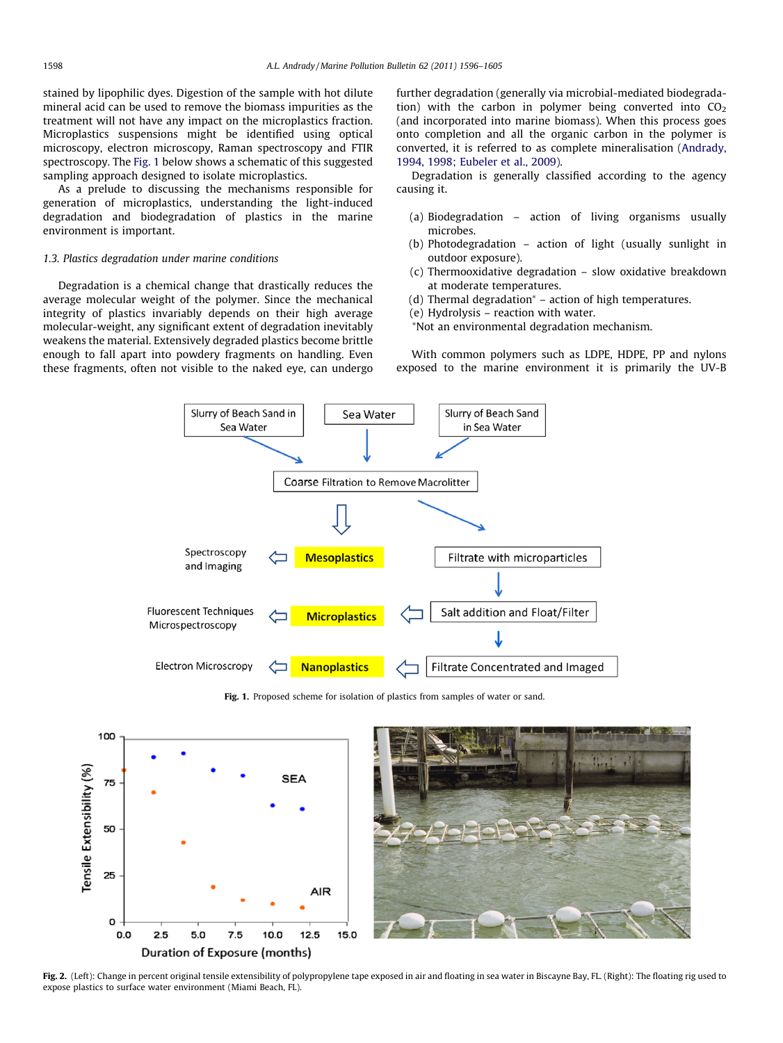<span id="page-2-0"></span>stained by lipophilic dyes. Digestion of the sample with hot dilute mineral acid can be used to remove the biomass impurities as the treatment will not have any impact on the microplastics fraction. Microplastics suspensions might be identified using optical microscopy, electron microscopy, Raman spectroscopy and FTIR spectroscopy. The Fig. 1 below shows a schematic of this suggested sampling approach designed to isolate microplastics.

As a prelude to discussing the mechanisms responsible for generation of microplastics, understanding the light-induced degradation and biodegradation of plastics in the marine environment is important.

### 1.3. Plastics degradation under marine conditions

Degradation is a chemical change that drastically reduces the average molecular weight of the polymer. Since the mechanical integrity of plastics invariably depends on their high average molecular-weight, any significant extent of degradation inevitably weakens the material. Extensively degraded plastics become brittle enough to fall apart into powdery fragments on handling. Even these fragments, often not visible to the naked eye, can undergo further degradation (generally via microbial-mediated biodegradation) with the carbon in polymer being converted into  $CO<sub>2</sub>$ (and incorporated into marine biomass). When this process goes onto completion and all the organic carbon in the polymer is converted, it is referred to as complete mineralisation ([Andrady,](#page-7-0) [1994, 1998; Eubeler et al., 2009](#page-7-0)).

Degradation is generally classified according to the agency causing it.

- (a) Biodegradation action of living organisms usually microbes.
- (b) Photodegradation action of light (usually sunlight in outdoor exposure).
- (c) Thermooxidative degradation slow oxidative breakdown at moderate temperatures.
- (d) Thermal degradation $*$  action of high temperatures.
- (e) Hydrolysis reaction with water.
- ⁄ Not an environmental degradation mechanism.

With common polymers such as LDPE, HDPE, PP and nylons exposed to the marine environment it is primarily the UV-B



Fig. 1. Proposed scheme for isolation of plastics from samples of water or sand.



Fig. 2. (Left): Change in percent original tensile extensibility of polypropylene tape exposed in air and floating in sea water in Biscayne Bay, FL. (Right): The floating rig used to expose plastics to surface water environment (Miami Beach, FL).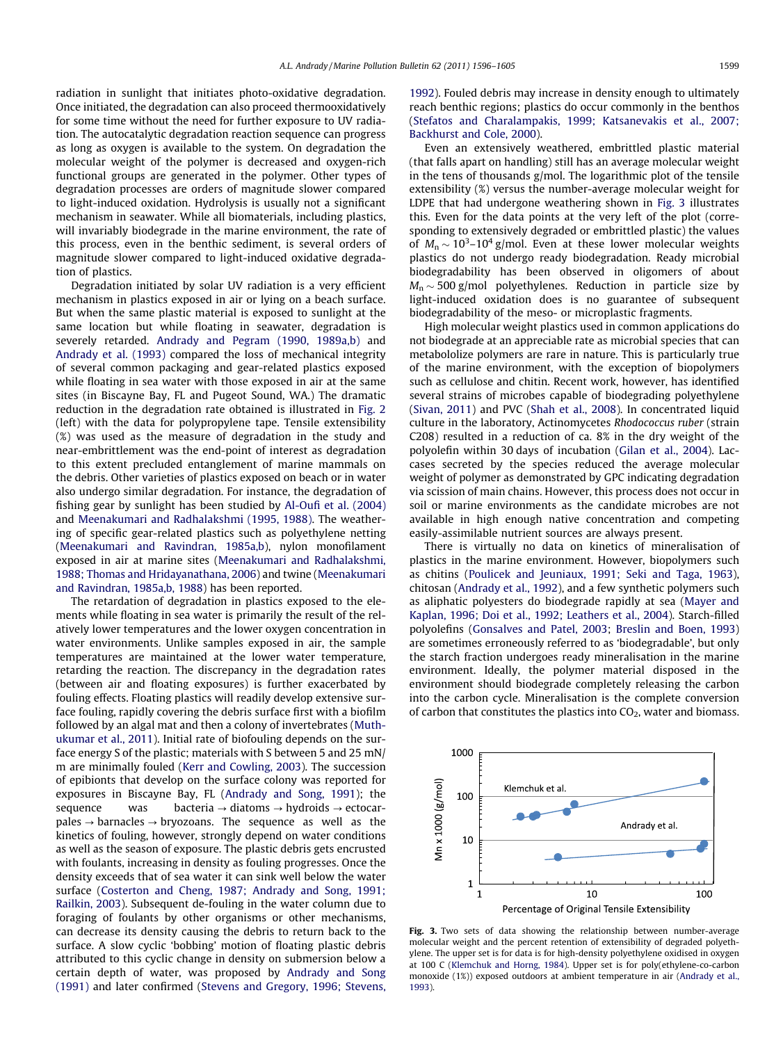radiation in sunlight that initiates photo-oxidative degradation. Once initiated, the degradation can also proceed thermooxidatively for some time without the need for further exposure to UV radiation. The autocatalytic degradation reaction sequence can progress as long as oxygen is available to the system. On degradation the molecular weight of the polymer is decreased and oxygen-rich functional groups are generated in the polymer. Other types of degradation processes are orders of magnitude slower compared to light-induced oxidation. Hydrolysis is usually not a significant mechanism in seawater. While all biomaterials, including plastics, will invariably biodegrade in the marine environment, the rate of this process, even in the benthic sediment, is several orders of magnitude slower compared to light-induced oxidative degradation of plastics.

Degradation initiated by solar UV radiation is a very efficient mechanism in plastics exposed in air or lying on a beach surface. But when the same plastic material is exposed to sunlight at the same location but while floating in seawater, degradation is severely retarded. [Andrady and Pegram \(1990, 1989a,b\)](#page-7-0) and [Andrady et al. \(1993\)](#page-7-0) compared the loss of mechanical integrity of several common packaging and gear-related plastics exposed while floating in sea water with those exposed in air at the same sites (in Biscayne Bay, FL and Pugeot Sound, WA.) The dramatic reduction in the degradation rate obtained is illustrated in [Fig. 2](#page-2-0) (left) with the data for polypropylene tape. Tensile extensibility (%) was used as the measure of degradation in the study and near-embrittlement was the end-point of interest as degradation to this extent precluded entanglement of marine mammals on the debris. Other varieties of plastics exposed on beach or in water also undergo similar degradation. For instance, the degradation of fishing gear by sunlight has been studied by [Al-Oufi et al. \(2004\)](#page-7-0) and [Meenakumari and Radhalakshmi \(1995, 1988\)](#page-8-0). The weathering of specific gear-related plastics such as polyethylene netting ([Meenakumari and Ravindran, 1985a,b](#page-8-0)), nylon monofilament exposed in air at marine sites [\(Meenakumari and Radhalakshmi,](#page-8-0) [1988; Thomas and Hridayanathana, 2006\)](#page-8-0) and twine ([Meenakumari](#page-8-0) [and Ravindran, 1985a,b, 1988](#page-8-0)) has been reported.

The retardation of degradation in plastics exposed to the elements while floating in sea water is primarily the result of the relatively lower temperatures and the lower oxygen concentration in water environments. Unlike samples exposed in air, the sample temperatures are maintained at the lower water temperature, retarding the reaction. The discrepancy in the degradation rates (between air and floating exposures) is further exacerbated by fouling effects. Floating plastics will readily develop extensive surface fouling, rapidly covering the debris surface first with a biofilm followed by an algal mat and then a colony of invertebrates ([Muth](#page-8-0)[ukumar et al., 2011\)](#page-8-0). Initial rate of biofouling depends on the surface energy S of the plastic; materials with S between 5 and 25 mN/ m are minimally fouled ([Kerr and Cowling, 2003](#page-8-0)). The succession of epibionts that develop on the surface colony was reported for exposures in Biscayne Bay, FL [\(Andrady and Song, 1991\)](#page-7-0); the sequence was bacteria  $\rightarrow$  diatoms  $\rightarrow$  hydroids  $\rightarrow$  ectocarpales  $\rightarrow$  barnacles  $\rightarrow$  bryozoans. The sequence as well as the kinetics of fouling, however, strongly depend on water conditions as well as the season of exposure. The plastic debris gets encrusted with foulants, increasing in density as fouling progresses. Once the density exceeds that of sea water it can sink well below the water surface ([Costerton and Cheng, 1987; Andrady and Song, 1991;](#page-7-0) [Railkin, 2003](#page-7-0)). Subsequent de-fouling in the water column due to foraging of foulants by other organisms or other mechanisms, can decrease its density causing the debris to return back to the surface. A slow cyclic 'bobbing' motion of floating plastic debris attributed to this cyclic change in density on submersion below a certain depth of water, was proposed by [Andrady and Song](#page-7-0) [\(1991\)](#page-7-0) and later confirmed [\(Stevens and Gregory, 1996; Stevens,](#page-8-0) [1992\)](#page-8-0). Fouled debris may increase in density enough to ultimately reach benthic regions; plastics do occur commonly in the benthos ([Stefatos and Charalampakis, 1999; Katsanevakis et al., 2007;](#page-8-0) [Backhurst and Cole, 2000\)](#page-8-0).

Even an extensively weathered, embrittled plastic material (that falls apart on handling) still has an average molecular weight in the tens of thousands g/mol. The logarithmic plot of the tensile extensibility (%) versus the number-average molecular weight for LDPE that had undergone weathering shown in Fig. 3 illustrates this. Even for the data points at the very left of the plot (corresponding to extensively degraded or embrittled plastic) the values of  $M_n \sim 10^3$ –10<sup>4</sup> g/mol. Even at these lower molecular weights plastics do not undergo ready biodegradation. Ready microbial biodegradability has been observed in oligomers of about  $M_{\rm n}$   $\sim$  500 g/mol polyethylenes. Reduction in particle size by light-induced oxidation does is no guarantee of subsequent biodegradability of the meso- or microplastic fragments.

High molecular weight plastics used in common applications do not biodegrade at an appreciable rate as microbial species that can metabololize polymers are rare in nature. This is particularly true of the marine environment, with the exception of biopolymers such as cellulose and chitin. Recent work, however, has identified several strains of microbes capable of biodegrading polyethylene ([Sivan, 2011](#page-8-0)) and PVC ([Shah et al., 2008\)](#page-8-0). In concentrated liquid culture in the laboratory, Actinomycetes Rhodococcus ruber (strain C208) resulted in a reduction of ca. 8% in the dry weight of the polyolefin within 30 days of incubation [\(Gilan et al., 2004\)](#page-8-0). Laccases secreted by the species reduced the average molecular weight of polymer as demonstrated by GPC indicating degradation via scission of main chains. However, this process does not occur in soil or marine environments as the candidate microbes are not available in high enough native concentration and competing easily-assimilable nutrient sources are always present.

There is virtually no data on kinetics of mineralisation of plastics in the marine environment. However, biopolymers such as chitins ([Poulicek and Jeuniaux, 1991; Seki and Taga, 1963\)](#page-8-0), chitosan ([Andrady et al., 1992](#page-7-0)), and a few synthetic polymers such as aliphatic polyesters do biodegrade rapidly at sea ([Mayer and](#page-8-0) [Kaplan, 1996; Doi et al., 1992; Leathers et al., 2004\)](#page-8-0). Starch-filled polyolefins ([Gonsalves and Patel, 2003](#page-8-0); [Breslin and Boen, 1993\)](#page-7-0) are sometimes erroneously referred to as 'biodegradable', but only the starch fraction undergoes ready mineralisation in the marine environment. Ideally, the polymer material disposed in the environment should biodegrade completely releasing the carbon into the carbon cycle. Mineralisation is the complete conversion of carbon that constitutes the plastics into  $CO<sub>2</sub>$ , water and biomass.



Fig. 3. Two sets of data showing the relationship between number-average molecular weight and the percent retention of extensibility of degraded polyethylene. The upper set is for data is for high-density polyethylene oxidised in oxygen at 100 C ([Klemchuk and Horng, 1984](#page-8-0)). Upper set is for poly(ethylene-co-carbon monoxide (1%)) exposed outdoors at ambient temperature in air [\(Andrady et al.,](#page-7-0) [1993\)](#page-7-0).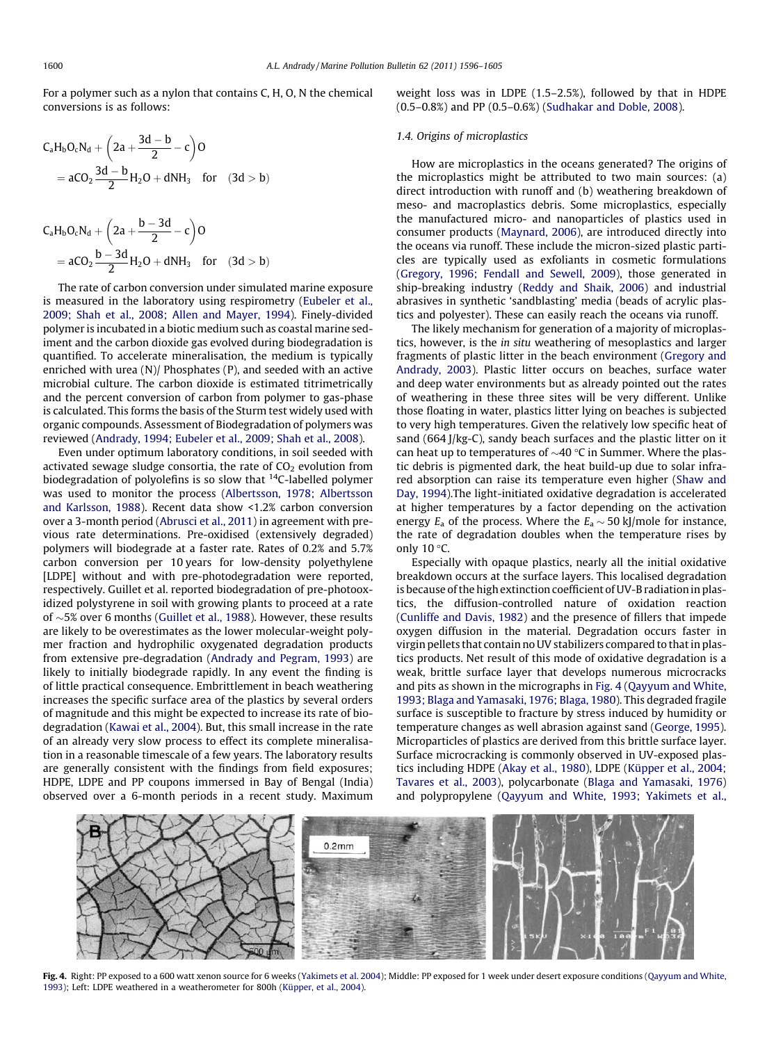For a polymer such as a nylon that contains C, H, O, N the chemical conversions is as follows:

$$
\begin{aligned} C_aH_bO_cN_d & +\bigg(2a+\frac{3d-b}{2}-c\bigg)O \\ & = aCO_2\frac{3d-b}{2}H_2O+dNH_3 \quad for \quad (3d>b) \end{aligned}
$$

$$
C_aH_bO_cN_d + \left(2a + \frac{b - 3d}{2} - c\right)0
$$
  
=  $aCO_2\frac{b - 3d}{2}H_2O + dNH_3$  for  $(3d > b)$ 

The rate of carbon conversion under simulated marine exposure is measured in the laboratory using respirometry ([Eubeler et al.,](#page-7-0) [2009; Shah et al., 2008; Allen and Mayer, 1994\)](#page-7-0). Finely-divided polymer is incubated in a biotic medium such as coastal marine sediment and the carbon dioxide gas evolved during biodegradation is quantified. To accelerate mineralisation, the medium is typically enriched with urea (N)/ Phosphates (P), and seeded with an active microbial culture. The carbon dioxide is estimated titrimetrically and the percent conversion of carbon from polymer to gas-phase is calculated. This forms the basis of the Sturm test widely used with organic compounds. Assessment of Biodegradation of polymers was reviewed ([Andrady, 1994; Eubeler et al., 2009; Shah et al., 2008\)](#page-7-0).

Even under optimum laboratory conditions, in soil seeded with activated sewage sludge consortia, the rate of  $CO<sub>2</sub>$  evolution from biodegradation of polyolefins is so slow that 14C-labelled polymer was used to monitor the process ([Albertsson, 1978; Albertsson](#page-7-0) [and Karlsson, 1988](#page-7-0)). Recent data show <1.2% carbon conversion over a 3-month period ([Abrusci et al., 2011](#page-7-0)) in agreement with previous rate determinations. Pre-oxidised (extensively degraded) polymers will biodegrade at a faster rate. Rates of 0.2% and 5.7% carbon conversion per 10 years for low-density polyethylene [LDPE] without and with pre-photodegradation were reported, respectively. Guillet et al. reported biodegradation of pre-photooxidized polystyrene in soil with growing plants to proceed at a rate of  $\sim$ 5% over 6 months ([Guillet et al., 1988](#page-8-0)). However, these results are likely to be overestimates as the lower molecular-weight polymer fraction and hydrophilic oxygenated degradation products from extensive pre-degradation [\(Andrady and Pegram, 1993\)](#page-7-0) are likely to initially biodegrade rapidly. In any event the finding is of little practical consequence. Embrittlement in beach weathering increases the specific surface area of the plastics by several orders of magnitude and this might be expected to increase its rate of biodegradation [\(Kawai et al., 2004](#page-8-0)). But, this small increase in the rate of an already very slow process to effect its complete mineralisation in a reasonable timescale of a few years. The laboratory results are generally consistent with the findings from field exposures; HDPE, LDPE and PP coupons immersed in Bay of Bengal (India) observed over a 6-month periods in a recent study. Maximum weight loss was in LDPE (1.5–2.5%), followed by that in HDPE (0.5–0.8%) and PP (0.5–0.6%) [\(Sudhakar and Doble, 2008](#page-8-0)).

#### 1.4. Origins of microplastics

How are microplastics in the oceans generated? The origins of the microplastics might be attributed to two main sources: (a) direct introduction with runoff and (b) weathering breakdown of meso- and macroplastics debris. Some microplastics, especially the manufactured micro- and nanoparticles of plastics used in consumer products [\(Maynard, 2006\)](#page-8-0), are introduced directly into the oceans via runoff. These include the micron-sized plastic particles are typically used as exfoliants in cosmetic formulations ([Gregory, 1996; Fendall and Sewell, 2009\)](#page-8-0), those generated in ship-breaking industry ([Reddy and Shaik, 2006](#page-8-0)) and industrial abrasives in synthetic 'sandblasting' media (beads of acrylic plastics and polyester). These can easily reach the oceans via runoff.

The likely mechanism for generation of a majority of microplastics, however, is the in situ weathering of mesoplastics and larger fragments of plastic litter in the beach environment ([Gregory and](#page-8-0) [Andrady, 2003\)](#page-8-0). Plastic litter occurs on beaches, surface water and deep water environments but as already pointed out the rates of weathering in these three sites will be very different. Unlike those floating in water, plastics litter lying on beaches is subjected to very high temperatures. Given the relatively low specific heat of sand (664 J/kg-C), sandy beach surfaces and the plastic litter on it can heat up to temperatures of  $\sim$ 40 °C in Summer. Where the plastic debris is pigmented dark, the heat build-up due to solar infrared absorption can raise its temperature even higher ([Shaw and](#page-8-0) [Day, 1994\)](#page-8-0).The light-initiated oxidative degradation is accelerated at higher temperatures by a factor depending on the activation energy  $E_a$  of the process. Where the  $E_a \sim 50$  kJ/mole for instance, the rate of degradation doubles when the temperature rises by only  $10^{\circ}$ C.

Especially with opaque plastics, nearly all the initial oxidative breakdown occurs at the surface layers. This localised degradation is because of the high extinction coefficient of UV-B radiation in plastics, the diffusion-controlled nature of oxidation reaction ([Cunliffe and Davis, 1982](#page-7-0)) and the presence of fillers that impede oxygen diffusion in the material. Degradation occurs faster in virgin pellets that contain no UV stabilizers compared to that in plastics products. Net result of this mode of oxidative degradation is a weak, brittle surface layer that develops numerous microcracks and pits as shown in the micrographs in Fig. 4 ([Qayyum and White,](#page-8-0) [1993; Blaga and Yamasaki, 1976; Blaga, 1980](#page-8-0)). This degraded fragile surface is susceptible to fracture by stress induced by humidity or temperature changes as well abrasion against sand [\(George, 1995\)](#page-8-0). Microparticles of plastics are derived from this brittle surface layer. Surface microcracking is commonly observed in UV-exposed plastics including HDPE [\(Akay et al., 1980](#page-7-0)), LDPE ([Küpper et al., 2004;](#page-8-0) [Tavares et al., 2003](#page-8-0)), polycarbonate [\(Blaga and Yamasaki, 1976\)](#page-7-0) and polypropylene ([Qayyum and White, 1993; Yakimets et al.,](#page-8-0)



Fig. 4. Right: PP exposed to a 600 watt xenon source for 6 weeks [\(Yakimets et al. 2004\)](#page-9-0); Middle: PP exposed for 1 week under desert exposure conditions [\(Qayyum and White,](#page-8-0) [1993\)](#page-8-0); Left: LDPE weathered in a weatherometer for 800h [\(Küpper, et al., 2004\)](#page-8-0).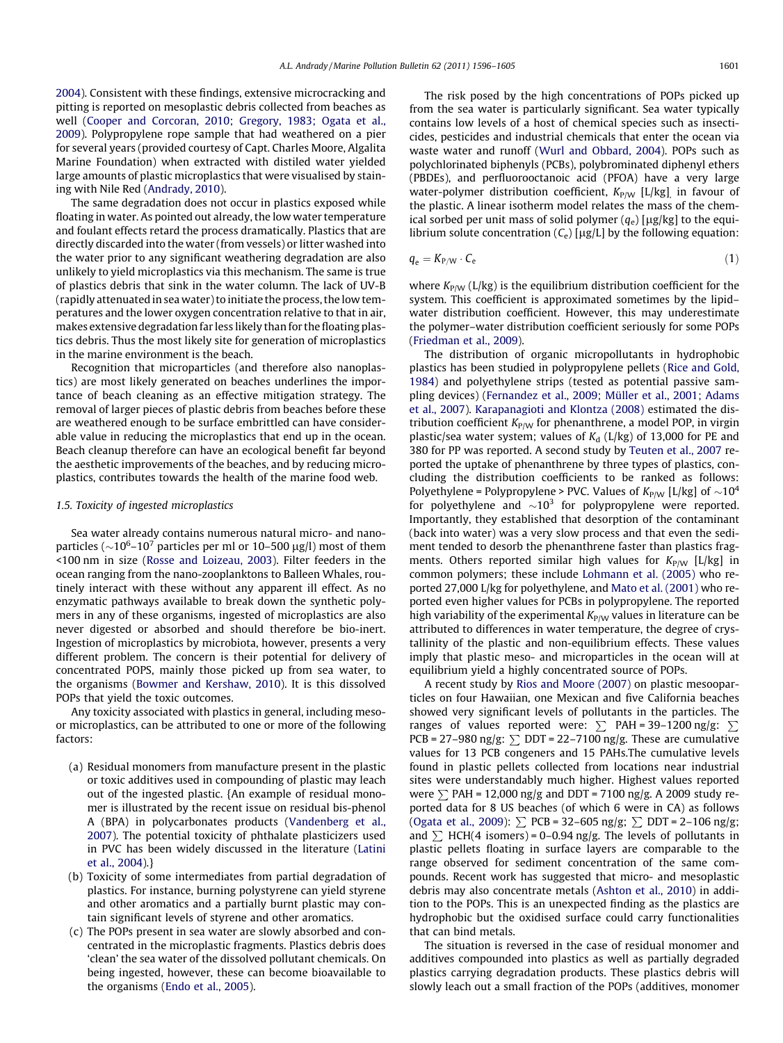[2004](#page-8-0)). Consistent with these findings, extensive microcracking and pitting is reported on mesoplastic debris collected from beaches as well [\(Cooper and Corcoran, 2010; Gregory, 1983; Ogata et al.,](#page-7-0) [2009](#page-7-0)). Polypropylene rope sample that had weathered on a pier for several years (provided courtesy of Capt. Charles Moore, Algalita Marine Foundation) when extracted with distiled water yielded large amounts of plastic microplastics that were visualised by staining with Nile Red [\(Andrady, 2010](#page-7-0)).

The same degradation does not occur in plastics exposed while floating in water. As pointed out already, the low water temperature and foulant effects retard the process dramatically. Plastics that are directly discarded into the water (from vessels) or litter washed into the water prior to any significant weathering degradation are also unlikely to yield microplastics via this mechanism. The same is true of plastics debris that sink in the water column. The lack of UV-B (rapidly attenuated in sea water) to initiate the process, the low temperatures and the lower oxygen concentration relative to that in air, makes extensive degradation far less likely than for the floating plastics debris. Thus the most likely site for generation of microplastics in the marine environment is the beach.

Recognition that microparticles (and therefore also nanoplastics) are most likely generated on beaches underlines the importance of beach cleaning as an effective mitigation strategy. The removal of larger pieces of plastic debris from beaches before these are weathered enough to be surface embrittled can have considerable value in reducing the microplastics that end up in the ocean. Beach cleanup therefore can have an ecological benefit far beyond the aesthetic improvements of the beaches, and by reducing microplastics, contributes towards the health of the marine food web.

#### 1.5. Toxicity of ingested microplastics

Sea water already contains numerous natural micro- and nanoparticles ( ${\sim}10^6\text{--}10^7$  particles per ml or 10–500  $\mu$ g/l) most of them <100 nm in size ([Rosse and Loizeau, 2003](#page-8-0)). Filter feeders in the ocean ranging from the nano-zooplanktons to Balleen Whales, routinely interact with these without any apparent ill effect. As no enzymatic pathways available to break down the synthetic polymers in any of these organisms, ingested of microplastics are also never digested or absorbed and should therefore be bio-inert. Ingestion of microplastics by microbiota, however, presents a very different problem. The concern is their potential for delivery of concentrated POPS, mainly those picked up from sea water, to the organisms ([Bowmer and Kershaw, 2010](#page-7-0)). It is this dissolved POPs that yield the toxic outcomes.

Any toxicity associated with plastics in general, including mesoor microplastics, can be attributed to one or more of the following factors:

- (a) Residual monomers from manufacture present in the plastic or toxic additives used in compounding of plastic may leach out of the ingested plastic. {An example of residual monomer is illustrated by the recent issue on residual bis-phenol A (BPA) in polycarbonates products ([Vandenberg et al.,](#page-9-0) [2007](#page-9-0)). The potential toxicity of phthalate plasticizers used in PVC has been widely discussed in the literature [\(Latini](#page-8-0) [et al., 2004\)](#page-8-0).}
- (b) Toxicity of some intermediates from partial degradation of plastics. For instance, burning polystyrene can yield styrene and other aromatics and a partially burnt plastic may contain significant levels of styrene and other aromatics.
- (c) The POPs present in sea water are slowly absorbed and concentrated in the microplastic fragments. Plastics debris does 'clean' the sea water of the dissolved pollutant chemicals. On being ingested, however, these can become bioavailable to the organisms ([Endo et al., 2005\)](#page-7-0).

The risk posed by the high concentrations of POPs picked up from the sea water is particularly significant. Sea water typically contains low levels of a host of chemical species such as insecticides, pesticides and industrial chemicals that enter the ocean via waste water and runoff [\(Wurl and Obbard, 2004\)](#page-9-0). POPs such as polychlorinated biphenyls (PCBs), polybrominated diphenyl ethers (PBDEs), and perfluorooctanoic acid (PFOA) have a very large water-polymer distribution coefficient,  $K_{P/W}$  [L/kg], in favour of the plastic. A linear isotherm model relates the mass of the chemical sorbed per unit mass of solid polymer  $(q_e)$  [µg/kg] to the equilibrium solute concentration  $(C_e)$  [µg/L] by the following equation:

$$
q_{\rm e} = K_{\rm P/W} \cdot C_{\rm e} \tag{1}
$$

where  $K_{P/W}$  (L/kg) is the equilibrium distribution coefficient for the system. This coefficient is approximated sometimes by the lipid– water distribution coefficient. However, this may underestimate the polymer–water distribution coefficient seriously for some POPs ([Friedman et al., 2009](#page-7-0)).

The distribution of organic micropollutants in hydrophobic plastics has been studied in polypropylene pellets ([Rice and Gold,](#page-8-0) [1984\)](#page-8-0) and polyethylene strips (tested as potential passive sampling devices) [\(Fernandez et al., 2009; Müller et al., 2001; Adams](#page-7-0) [et al., 2007\)](#page-7-0). [Karapanagioti and Klontza \(2008\)](#page-8-0) estimated the distribution coefficient  $K_{P/W}$  for phenanthrene, a model POP, in virgin plastic/sea water system; values of  $K_d$  (L/kg) of 13,000 for PE and 380 for PP was reported. A second study by [Teuten et al., 2007](#page-9-0) reported the uptake of phenanthrene by three types of plastics, concluding the distribution coefficients to be ranked as follows: Polyethylene = Polypropylene > PVC. Values of  $K_{P/W}$  [L/kg] of  $\sim$ 10<sup>4</sup> for polyethylene and  $\sim 10^3$  for polypropylene were reported. Importantly, they established that desorption of the contaminant (back into water) was a very slow process and that even the sediment tended to desorb the phenanthrene faster than plastics fragments. Others reported similar high values for  $K_{P/W}$  [L/kg] in common polymers; these include [Lohmann et al. \(2005\)](#page-8-0) who reported 27,000 L/kg for polyethylene, and [Mato et al. \(2001\)](#page-8-0) who reported even higher values for PCBs in polypropylene. The reported high variability of the experimental  $K_{P/W}$  values in literature can be attributed to differences in water temperature, the degree of crystallinity of the plastic and non-equilibrium effects. These values imply that plastic meso- and microparticles in the ocean will at equilibrium yield a highly concentrated source of POPs.

A recent study by [Rios and Moore \(2007\)](#page-8-0) on plastic mesooparticles on four Hawaiian, one Mexican and five California beaches showed very significant levels of pollutants in the particles. The ranges of values reported were:  $\sum$  PAH = 39-1200 ng/g:  $\sum$ PCB = 27–980 ng/g:  $\Sigma$  DDT = 22–7100 ng/g. These are cumulative values for 13 PCB congeners and 15 PAHs.The cumulative levels found in plastic pellets collected from locations near industrial sites were understandably much higher. Highest values reported were  $\sum$  PAH = 12,000 ng/g and DDT = 7100 ng/g. A 2009 study reported data for 8 US beaches (of which 6 were in CA) as follows ([Ogata et al., 2009](#page-8-0)):  $\sum$  PCB = 32–605 ng/g;  $\sum$  DDT = 2–106 ng/g; and  $\Sigma$  HCH(4 isomers) = 0–0.94 ng/g. The levels of pollutants in plastic pellets floating in surface layers are comparable to the range observed for sediment concentration of the same compounds. Recent work has suggested that micro- and mesoplastic debris may also concentrate metals [\(Ashton et al., 2010](#page-7-0)) in addition to the POPs. This is an unexpected finding as the plastics are hydrophobic but the oxidised surface could carry functionalities that can bind metals.

The situation is reversed in the case of residual monomer and additives compounded into plastics as well as partially degraded plastics carrying degradation products. These plastics debris will slowly leach out a small fraction of the POPs (additives, monomer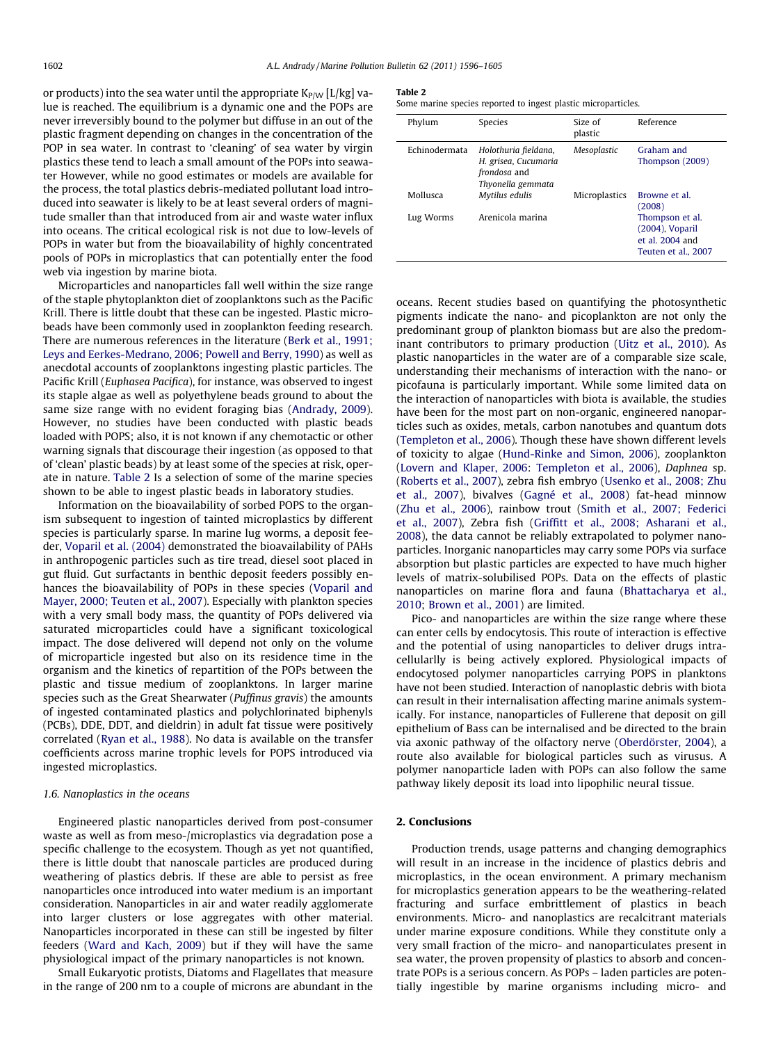or products) into the sea water until the appropriate  $K_{P/W}$  [L/kg] value is reached. The equilibrium is a dynamic one and the POPs are never irreversibly bound to the polymer but diffuse in an out of the plastic fragment depending on changes in the concentration of the POP in sea water. In contrast to 'cleaning' of sea water by virgin plastics these tend to leach a small amount of the POPs into seawater However, while no good estimates or models are available for the process, the total plastics debris-mediated pollutant load introduced into seawater is likely to be at least several orders of magnitude smaller than that introduced from air and waste water influx into oceans. The critical ecological risk is not due to low-levels of POPs in water but from the bioavailability of highly concentrated pools of POPs in microplastics that can potentially enter the food web via ingestion by marine biota.

Microparticles and nanoparticles fall well within the size range of the staple phytoplankton diet of zooplanktons such as the Pacific Krill. There is little doubt that these can be ingested. Plastic microbeads have been commonly used in zooplankton feeding research. There are numerous references in the literature [\(Berk et al., 1991;](#page-7-0) [Leys and Eerkes-Medrano, 2006; Powell and Berry, 1990\)](#page-7-0) as well as anecdotal accounts of zooplanktons ingesting plastic particles. The Pacific Krill (Euphasea Pacifica), for instance, was observed to ingest its staple algae as well as polyethylene beads ground to about the same size range with no evident foraging bias [\(Andrady, 2009\)](#page-7-0). However, no studies have been conducted with plastic beads loaded with POPS; also, it is not known if any chemotactic or other warning signals that discourage their ingestion (as opposed to that of 'clean' plastic beads) by at least some of the species at risk, operate in nature. Table 2 Is a selection of some of the marine species shown to be able to ingest plastic beads in laboratory studies.

Information on the bioavailability of sorbed POPS to the organism subsequent to ingestion of tainted microplastics by different species is particularly sparse. In marine lug worms, a deposit feeder, [Voparil et al. \(2004\)](#page-9-0) demonstrated the bioavailability of PAHs in anthropogenic particles such as tire tread, diesel soot placed in gut fluid. Gut surfactants in benthic deposit feeders possibly enhances the bioavailability of POPs in these species ([Voparil and](#page-9-0) [Mayer, 2000; Teuten et al., 2007](#page-9-0)). Especially with plankton species with a very small body mass, the quantity of POPs delivered via saturated microparticles could have a significant toxicological impact. The dose delivered will depend not only on the volume of microparticle ingested but also on its residence time in the organism and the kinetics of repartition of the POPs between the plastic and tissue medium of zooplanktons. In larger marine species such as the Great Shearwater (Puffinus gravis) the amounts of ingested contaminated plastics and polychlorinated biphenyls (PCBs), DDE, DDT, and dieldrin) in adult fat tissue were positively correlated ([Ryan et al., 1988\)](#page-8-0). No data is available on the transfer coefficients across marine trophic levels for POPS introduced via ingested microplastics.

#### 1.6. Nanoplastics in the oceans

Engineered plastic nanoparticles derived from post-consumer waste as well as from meso-/microplastics via degradation pose a specific challenge to the ecosystem. Though as yet not quantified, there is little doubt that nanoscale particles are produced during weathering of plastics debris. If these are able to persist as free nanoparticles once introduced into water medium is an important consideration. Nanoparticles in air and water readily agglomerate into larger clusters or lose aggregates with other material. Nanoparticles incorporated in these can still be ingested by filter feeders [\(Ward and Kach, 2009](#page-9-0)) but if they will have the same physiological impact of the primary nanoparticles is not known.

Small Eukaryotic protists, Diatoms and Flagellates that measure in the range of 200 nm to a couple of microns are abundant in the

| D |  |
|---|--|
|   |  |

Some marine species reported to ingest plastic microparticles.

| Phylum        | <b>Species</b>                                                                    | Size of<br>plastic   | Reference                                                                       |
|---------------|-----------------------------------------------------------------------------------|----------------------|---------------------------------------------------------------------------------|
| Echinodermata | Holothuria fieldana,<br>H. grisea, Cucumaria<br>frondosa and<br>Thyonella gemmata | Mesoplastic          | Graham and<br>Thompson (2009)                                                   |
| Mollusca      | Mytilus edulis                                                                    | <b>Microplastics</b> | Browne et al<br>(2008)                                                          |
| Lug Worms     | Arenicola marina                                                                  |                      | Thompson et al.<br>$(2004)$ , Voparil<br>et al. 2004 and<br>Teuten et al., 2007 |

oceans. Recent studies based on quantifying the photosynthetic pigments indicate the nano- and picoplankton are not only the predominant group of plankton biomass but are also the predominant contributors to primary production ([Uitz et al., 2010\)](#page-9-0). As plastic nanoparticles in the water are of a comparable size scale, understanding their mechanisms of interaction with the nano- or picofauna is particularly important. While some limited data on the interaction of nanoparticles with biota is available, the studies have been for the most part on non-organic, engineered nanoparticles such as oxides, metals, carbon nanotubes and quantum dots ([Templeton et al., 2006\)](#page-9-0). Though these have shown different levels of toxicity to algae ([Hund-Rinke and Simon, 2006](#page-8-0)), zooplankton ([Lovern and Klaper, 2006](#page-8-0): [Templeton et al., 2006](#page-9-0)), Daphnea sp. ([Roberts et al., 2007](#page-8-0)), zebra fish embryo [\(Usenko et al., 2008; Zhu](#page-9-0) [et al., 2007](#page-9-0)), bivalves ([Gagné et al., 2008\)](#page-7-0) fat-head minnow ([Zhu et al., 2006](#page-9-0)), rainbow trout [\(Smith et al., 2007; Federici](#page-8-0) [et al., 2007](#page-8-0)), Zebra fish [\(Griffitt et al., 2008; Asharani et al.,](#page-8-0) [2008\)](#page-8-0), the data cannot be reliably extrapolated to polymer nanoparticles. Inorganic nanoparticles may carry some POPs via surface absorption but plastic particles are expected to have much higher levels of matrix-solubilised POPs. Data on the effects of plastic nanoparticles on marine flora and fauna ([Bhattacharya et al.,](#page-7-0) [2010;](#page-7-0) [Brown et al., 2001\)](#page-7-0) are limited.

Pico- and nanoparticles are within the size range where these can enter cells by endocytosis. This route of interaction is effective and the potential of using nanoparticles to deliver drugs intracellularlly is being actively explored. Physiological impacts of endocytosed polymer nanoparticles carrying POPS in planktons have not been studied. Interaction of nanoplastic debris with biota can result in their internalisation affecting marine animals systemically. For instance, nanoparticles of Fullerene that deposit on gill epithelium of Bass can be internalised and be directed to the brain via axonic pathway of the olfactory nerve ([Oberdörster, 2004](#page-8-0)), a route also available for biological particles such as virusus. A polymer nanoparticle laden with POPs can also follow the same pathway likely deposit its load into lipophilic neural tissue.

### 2. Conclusions

Production trends, usage patterns and changing demographics will result in an increase in the incidence of plastics debris and microplastics, in the ocean environment. A primary mechanism for microplastics generation appears to be the weathering-related fracturing and surface embrittlement of plastics in beach environments. Micro- and nanoplastics are recalcitrant materials under marine exposure conditions. While they constitute only a very small fraction of the micro- and nanoparticulates present in sea water, the proven propensity of plastics to absorb and concentrate POPs is a serious concern. As POPs – laden particles are potentially ingestible by marine organisms including micro- and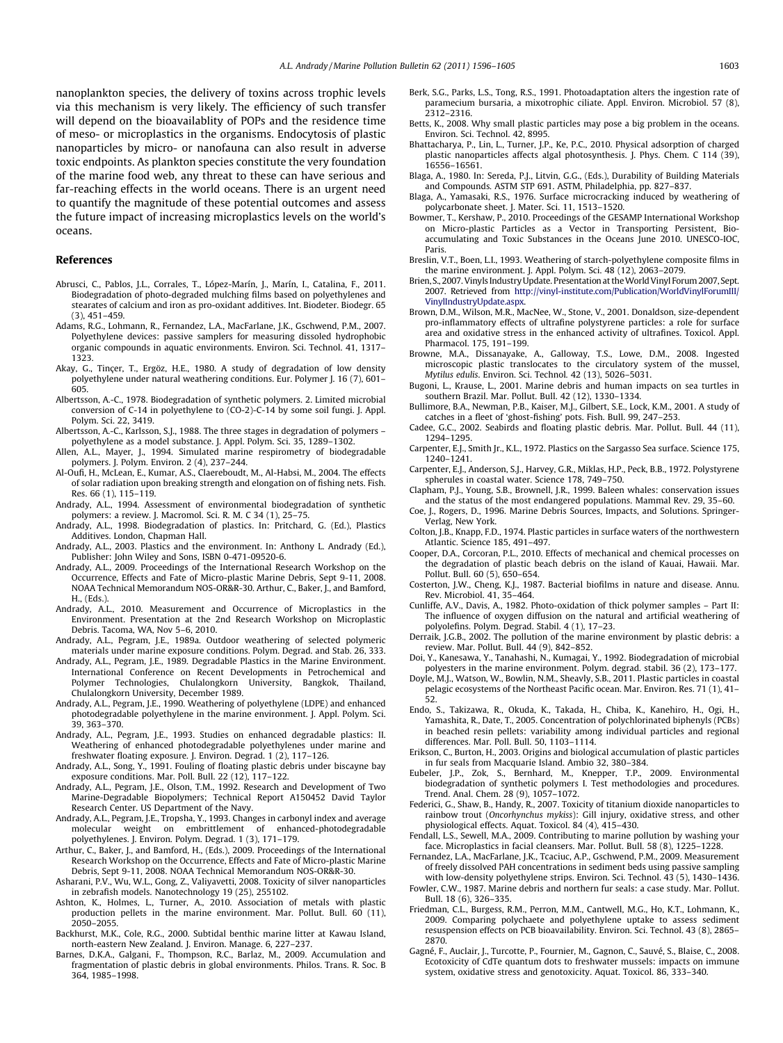<span id="page-7-0"></span>nanoplankton species, the delivery of toxins across trophic levels via this mechanism is very likely. The efficiency of such transfer will depend on the bioavailablity of POPs and the residence time of meso- or microplastics in the organisms. Endocytosis of plastic nanoparticles by micro- or nanofauna can also result in adverse toxic endpoints. As plankton species constitute the very foundation of the marine food web, any threat to these can have serious and far-reaching effects in the world oceans. There is an urgent need to quantify the magnitude of these potential outcomes and assess the future impact of increasing microplastics levels on the world's oceans.

#### References

- Abrusci, C., Pablos, J.L., Corrales, T., López-Marín, J., Marín, I., Catalina, F., 2011. Biodegradation of photo-degraded mulching films based on polyethylenes and stearates of calcium and iron as pro-oxidant additives. Int. Biodeter. Biodegr. 65 (3), 451–459.
- Adams, R.G., Lohmann, R., Fernandez, L.A., MacFarlane, J.K., Gschwend, P.M., 2007. Polyethylene devices: passive samplers for measuring dissoled hydrophobic organic compounds in aquatic environments. Environ. Sci. Technol. 41, 1317– 1323.
- Akay, G., Tinçer, T., Ergöz, H.E., 1980. A study of degradation of low density polyethylene under natural weathering conditions. Eur. Polymer J. 16 (7), 601– 605.
- Albertsson, A.-C., 1978. Biodegradation of synthetic polymers. 2. Limited microbial conversion of C-14 in polyethylene to (CO-2)-C-14 by some soil fungi. J. Appl. Polym. Sci. 22, 3419.
- Albertsson, A.-C., Karlsson, S.J., 1988. The three stages in degradation of polymers polyethylene as a model substance. J. Appl. Polym. Sci. 35, 1289–1302.
- Allen, A.L., Mayer, J., 1994. Simulated marine respirometry of biodegradable polymers. J. Polym. Environ. 2 (4), 237–244.
- Al-Oufi, H., McLean, E., Kumar, A.S., Claereboudt, M., Al-Habsi, M., 2004. The effects of solar radiation upon breaking strength and elongation on of fishing nets. Fish. Res. 66 (1), 115–119.
- Andrady, A.L., 1994. Assessment of environmental biodegradation of synthetic polymers: a review. J. Macromol. Sci. R. M. C 34 (1), 25–75.
- Andrady, A.L., 1998. Biodegradation of plastics. In: Pritchard, G. (Ed.), Plastics Additives. London, Chapman Hall.
- Andrady, A.L., 2003. Plastics and the environment. In: Anthony L. Andrady (Ed.), Publisher: John Wiley and Sons, ISBN 0-471-09520-6.
- Andrady, A.L., 2009. Proceedings of the International Research Workshop on the Occurrence, Effects and Fate of Micro-plastic Marine Debris, Sept 9-11, 2008. NOAA Technical Memorandum NOS-OR&R-30. Arthur, C., Baker, J., and Bamford, H., (Eds.).
- Andrady, A.L., 2010. Measurement and Occurrence of Microplastics in the Environment. Presentation at the 2nd Research Workshop on Microplastic Debris. Tacoma, WA, Nov 5–6, 2010.
- Andrady, A.L., Pegram, J.E., 1989a. Outdoor weathering of selected polymeric materials under marine exposure conditions. Polym. Degrad. and Stab. 26, 333.
- Andrady, A.L., Pegram, J.E., 1989. Degradable Plastics in the Marine Environment. International Conference on Recent Developments in Petrochemical and Polymer Technologies, Chulalongkorn University, Bangkok, Thailand, Chulalongkorn University, December 1989.
- Andrady, A.L., Pegram, J.E., 1990. Weathering of polyethylene (LDPE) and enhanced photodegradable polyethylene in the marine environment. J. Appl. Polym. Sci. 39, 363–370.
- Andrady, A.L., Pegram, J.E., 1993. Studies on enhanced degradable plastics: II. Weathering of enhanced photodegradable polyethylenes under marine and freshwater floating exposure. J. Environ. Degrad. 1 (2), 117–126.
- Andrady, A.L., Song, Y., 1991. Fouling of floating plastic debris under biscayne bay exposure conditions. Mar. Poll. Bull. 22 (12), 117–122.
- Andrady, A.L., Pegram, J.E., Olson, T.M., 1992. Research and Development of Two Marine-Degradable Biopolymers; Technical Report A150452 David Taylor Research Center. US Department of the Navy.
- Andrady, A.L., Pegram, J.E., Tropsha, Y., 1993. Changes in carbonyl index and average molecular weight on embrittlement of enhanced-photodegradable polyethylenes. J. Environ. Polym. Degrad. 1 (3), 171–179.
- Arthur, C., Baker, J., and Bamford, H., (Eds.), 2009. Proceedings of the International Research Workshop on the Occurrence, Effects and Fate of Micro-plastic Marine Debris, Sept 9-11, 2008. NOAA Technical Memorandum NOS-OR&R-30.
- Asharani, P.V., Wu, W.L., Gong, Z., Valiyavetti, 2008. Toxicity of silver nanoparticles in zebrafish models. Nanotechnology 19 (25), 255102.
- Ashton, K., Holmes, L., Turner, A., 2010. Association of metals with plastic production pellets in the marine environment. Mar. Pollut. Bull. 60 (11), 2050–2055.
- Backhurst, M.K., Cole, R.G., 2000. Subtidal benthic marine litter at Kawau Island, north-eastern New Zealand. J. Environ. Manage. 6, 227–237.
- Barnes, D.K.A., Galgani, F., Thompson, R.C., Barlaz, M., 2009. Accumulation and fragmentation of plastic debris in global environments. Philos. Trans. R. Soc. B 364, 1985–1998.
- Berk, S.G., Parks, L.S., Tong, R.S., 1991. Photoadaptation alters the ingestion rate of paramecium bursaria, a mixotrophic ciliate. Appl. Environ. Microbiol. 57 (8), 2312–2316.
- Betts, K., 2008. Why small plastic particles may pose a big problem in the oceans. Environ. Sci. Technol. 42, 8995.
- Bhattacharya, P., Lin, L., Turner, J.P., Ke, P.C., 2010. Physical adsorption of charged plastic nanoparticles affects algal photosynthesis. J. Phys. Chem. C 114 (39), 16556–16561.
- Blaga, A., 1980. In: Sereda, P.J., Litvin, G.G., (Eds.), Durability of Building Materials and Compounds. ASTM STP 691. ASTM, Philadelphia, pp. 827–837.
- Blaga, A., Yamasaki, R.S., 1976. Surface microcracking induced by weathering of polycarbonate sheet. J. Mater. Sci. 11, 1513–1520.
- Bowmer, T., Kershaw, P., 2010. Proceedings of the GESAMP International Workshop on Micro-plastic Particles as a Vector in Transporting Persistent, Bioaccumulating and Toxic Substances in the Oceans June 2010. UNESCO-IOC, Paris.
- Breslin, V.T., Boen, L.I., 1993. Weathering of starch-polyethylene composite films in the marine environment. J. Appl. Polym. Sci. 48 (12), 2063–2079.
- Brien, S., 2007. Vinyls Industry Update. Presentation at theWorld Vinyl Forum 2007, Sept. 2007. Retrieved from [http://vinyl-institute.com/Publication/WorldVinylForumIII/](http://vinyl-institute.com/Publication/WorldVinylForumIII/VinylIndustryUpdate.aspx) [VinylIndustryUpdate.aspx.](http://vinyl-institute.com/Publication/WorldVinylForumIII/VinylIndustryUpdate.aspx)
- Brown, D.M., Wilson, M.R., MacNee, W., Stone, V., 2001. Donaldson, size-dependent pro-inflammatory effects of ultrafine polystyrene particles: a role for surface area and oxidative stress in the enhanced activity of ultrafines. Toxicol. Appl. Pharmacol. 175, 191–199.
- Browne, M.A., Dissanayake, A., Galloway, T.S., Lowe, D.M., 2008. Ingested microscopic plastic translocates to the circulatory system of the mussel, Mytilus edulis. Environ. Sci. Technol. 42 (13), 5026–5031.
- Bugoni, L., Krause, L., 2001. Marine debris and human impacts on sea turtles in southern Brazil. Mar. Pollut. Bull. 42 (12), 1330–1334.
- Bullimore, B.A., Newman, P.B., Kaiser, M.J., Gilbert, S.E., Lock, K.M., 2001. A study of catches in a fleet of 'ghost-fishing' pots. Fish. Bull. 99, 247–253.
- Cadee, G.C., 2002. Seabirds and floating plastic debris. Mar. Pollut. Bull. 44 (11), 1294–1295.
- Carpenter, E.J., Smith Jr., K.L., 1972. Plastics on the Sargasso Sea surface. Science 175,  $1240 - 1241$ .
- Carpenter, E.J., Anderson, S.J., Harvey, G.R., Miklas, H.P., Peck, B.B., 1972. Polystyrene spherules in coastal water. Science 178, 749–750.
- Clapham, P.J., Young, S.B., Brownell, J.R., 1999. Baleen whales: conservation issues and the status of the most endangered populations. Mammal Rev. 29, 35–60.
- Coe, J., Rogers, D., 1996. Marine Debris Sources, Impacts, and Solutions. Springer-Verlag, New York.
- Colton, J.B., Knapp, F.D., 1974. Plastic particles in surface waters of the northwestern Atlantic. Science 185, 491–497.
- Cooper, D.A., Corcoran, P.L., 2010. Effects of mechanical and chemical processes on the degradation of plastic beach debris on the island of Kauai, Hawaii. Mar. Pollut. Bull. 60 (5), 650–654.
- Costerton, J.W., Cheng, K.J., 1987. Bacterial biofilms in nature and disease. Annu. Rev. Microbiol. 41, 35–464.
- Cunliffe, A.V., Davis, A., 1982. Photo-oxidation of thick polymer samples Part II: The influence of oxygen diffusion on the natural and artificial weathering of polyolefins. Polym. Degrad. Stabil. 4 (1), 17–23.
- Derraik, J.G.B., 2002. The pollution of the marine environment by plastic debris: a review. Mar. Pollut. Bull. 44 (9), 842–852.
- Doi, Y., Kanesawa, Y., Tanahashi, N., Kumagai, Y., 1992. Biodegradation of microbial polyesters in the marine environment. Polym. degrad. stabil. 36 (2), 173–177.
- Doyle, M.J., Watson, W., Bowlin, N.M., Sheavly, S.B., 2011. Plastic particles in coastal pelagic ecosystems of the Northeast Pacific ocean. Mar. Environ. Res. 71 (1), 41– 52.
- Endo, S., Takizawa, R., Okuda, K., Takada, H., Chiba, K., Kanehiro, H., Ogi, H., Yamashita, R., Date, T., 2005. Concentration of polychlorinated biphenyls (PCBs) in beached resin pellets: variability among individual particles and regional differences. Mar. Poll. Bull. 50, 1103–1114.
- Erikson, C., Burton, H., 2003. Origins and biological accumulation of plastic particles in fur seals from Macquarie Island. Ambio 32, 380–384.
- Eubeler, J.P., Zok, S., Bernhard, M., Knepper, T.P., 2009. Environmental biodegradation of synthetic polymers I. Test methodologies and procedures. Trend. Anal. Chem. 28 (9), 1057–1072.
- Federici, G., Shaw, B., Handy, R., 2007. Toxicity of titanium dioxide nanoparticles to rainbow trout (Oncorhynchus mykiss): Gill injury, oxidative stress, and other physiological effects. Aquat. Toxicol. 84 (4), 415–430.
- Fendall, L.S., Sewell, M.A., 2009. Contributing to marine pollution by washing your face. Microplastics in facial cleansers. Mar. Pollut. Bull. 58 (8), 1225–1228.
- Fernandez, L.A., MacFarlane, J.K., Tcaciuc, A.P., Gschwend, P.M., 2009. Measurement of freely dissolved PAH concentrations in sediment beds using passive sampling with low-density polyethylene strips. Environ. Sci. Technol. 43 (5), 1430–1436.
- Fowler, C.W., 1987. Marine debris and northern fur seals: a case study. Mar. Pollut. Bull. 18 (6), 326–335.
- Friedman, C.L., Burgess, R.M., Perron, M.M., Cantwell, M.G., Ho, K.T., Lohmann, K., 2009. Comparing polychaete and polyethylene uptake to assess sediment resuspension effects on PCB bioavailability. Environ. Sci. Technol. 43 (8), 2865– 2870.
- Gagné, F., Auclair, J., Turcotte, P., Fournier, M., Gagnon, C., Sauvé, S., Blaise, C., 2008. Ecotoxicity of CdTe quantum dots to freshwater mussels: impacts on immune system, oxidative stress and genotoxicity. Aquat. Toxicol. 86, 333–340.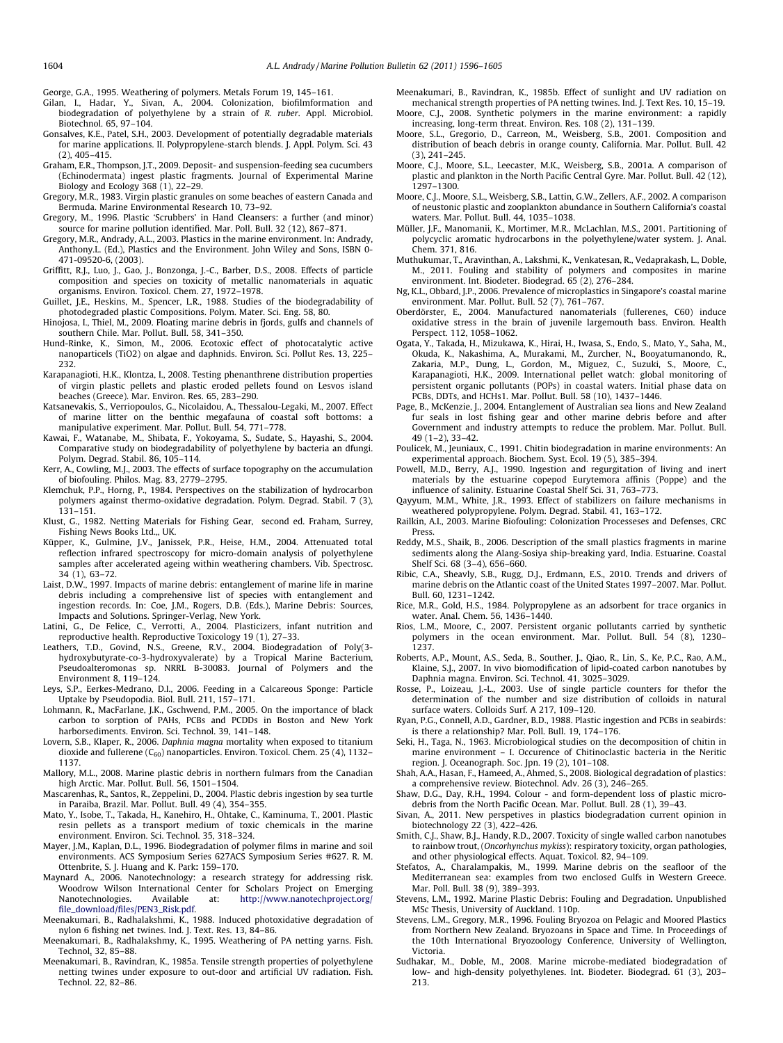- <span id="page-8-0"></span>George, G.A., 1995. Weathering of polymers. Metals Forum 19, 145–161.
- Gilan, I., Hadar, Y., Sivan, A., 2004. Colonization, biofilmformation and biodegradation of polyethylene by a strain of R. ruber. Appl. Microbiol. Biotechnol. 65, 97–104.
- Gonsalves, K.E., Patel, S.H., 2003. Development of potentially degradable materials for marine applications. II. Polypropylene-starch blends. J. Appl. Polym. Sci. 43 (2), 405–415.
- Graham, E.R., Thompson, J.T., 2009. Deposit- and suspension-feeding sea cucumbers (Echinodermata) ingest plastic fragments. Journal of Experimental Marine Biology and Ecology 368 (1), 22–29.
- Gregory, M.R., 1983. Virgin plastic granules on some beaches of eastern Canada and Bermuda. Marine Environmental Research 10, 73–92.
- Gregory, M., 1996. Plastic 'Scrubbers' in Hand Cleansers: a further (and minor) source for marine pollution identified. Mar. Poll. Bull. 32 (12), 867–871.
- Gregory, M.R., Andrady, A.L., 2003. Plastics in the marine environment. In: Andrady, Anthony.L. (Ed.), Plastics and the Environment. John Wiley and Sons, ISBN 0- 471-09520-6, (2003).
- Griffitt, R.J., Luo, J., Gao, J., Bonzonga, J.-C., Barber, D.S., 2008. Effects of particle composition and species on toxicity of metallic nanomaterials in aquatic organisms. Environ. Toxicol. Chem. 27, 1972–1978.
- Guillet, J.E., Heskins, M., Spencer, L.R., 1988. Studies of the biodegradability of photodegraded plastic Compositions. Polym. Mater. Sci. Eng. 58, 80.
- Hinojosa, I., Thiel, M., 2009. Floating marine debris in fjords, gulfs and channels of southern Chile. Mar. Pollut. Bull. 58, 341–350.
- Hund-Rinke, K., Simon, M., 2006. Ecotoxic effect of photocatalytic active nanoparticels (TiO2) on algae and daphnids. Environ. Sci. Pollut Res. 13, 225– 232.
- Karapanagioti, H.K., Klontza, I., 2008. Testing phenanthrene distribution properties of virgin plastic pellets and plastic eroded pellets found on Lesvos island beaches (Greece). Mar. Environ. Res. 65, 283–290.
- Katsanevakis, S., Verriopoulos, G., Nicolaidou, A., Thessalou-Legaki, M., 2007. Effect of marine litter on the benthic megafauna of coastal soft bottoms: a manipulative experiment. Mar. Pollut. Bull. 54, 771–778.
- Kawai, F., Watanabe, M., Shibata, F., Yokoyama, S., Sudate, S., Hayashi, S., 2004. Comparative study on biodegradability of polyethylene by bacteria an dfungi. Polym. Degrad. Stabil. 86, 105–114.
- Kerr, A., Cowling, M.J., 2003. The effects of surface topography on the accumulation of biofouling. Philos. Mag. 83, 2779–2795.
- Klemchuk, P.P., Horng, P., 1984. Perspectives on the stabilization of hydrocarbon polymers against thermo-oxidative degradation. Polym. Degrad. Stabil. 7 (3), 131–151.
- Klust, G., 1982. Netting Materials for Fishing Gear, second ed. Fraham, Surrey, Fishing News Books Ltd.,, UK.
- Küpper, K., Gulmine, J.V., Janissek, P.R., Heise, H.M., 2004. Attenuated total reflection infrared spectroscopy for micro-domain analysis of polyethylene samples after accelerated ageing within weathering chambers. Vib. Spectrosc. 34 (1), 63–72.
- Laist, D.W., 1997. Impacts of marine debris: entanglement of marine life in marine debris including a comprehensive list of species with entanglement and ingestion records. In: Coe, J.M., Rogers, D.B. (Eds.), Marine Debris: Sources,
- Impacts and Solutions. Springer-Verlag, New York. Latini, G., De Felice, C., Verrotti, A., 2004. Plasticizers, infant nutrition and reproductive health. Reproductive Toxicology 19 (1), 27–33.
- Leathers, T.D., Govind, N.S., Greene, R.V., 2004. Biodegradation of Poly(3- hydroxybutyrate-co-3-hydroxyvalerate) by a Tropical Marine Bacterium, Pseudoalteromonas sp. NRRL B-30083. Journal of Polymers and the Environment 8, 119–124.
- Leys, S.P., Eerkes-Medrano, D.I., 2006. Feeding in a Calcareous Sponge: Particle Uptake by Pseudopodia. Biol. Bull. 211, 157–171.
- Lohmann, R., MacFarlane, J.K., Gschwend, P.M., 2005. On the importance of black carbon to sorption of PAHs, PCBs and PCDDs in Boston and New York harborsediments. Environ. Sci. Technol. 39, 141-148.
- Lovern, S.B., Klaper, R., 2006. Daphnia magna mortality when exposed to titanium dioxide and fullerene  $(C_{60})$  nanoparticles. Environ. Toxicol. Chem. 25 (4), 1132– 1137.
- Mallory, M.L., 2008. Marine plastic debris in northern fulmars from the Canadian high Arctic. Mar. Pollut. Bull. 56, 1501–1504.
- Mascarenhas, R., Santos, R., Zeppelini, D., 2004. Plastic debris ingestion by sea turtle in Paraiba, Brazil. Mar. Pollut. Bull. 49 (4), 354–355.
- Mato, Y., Isobe, T., Takada, H., Kanehiro, H., Ohtake, C., Kaminuma, T., 2001. Plastic resin pellets as a transport medium of toxic chemicals in the marine environment. Environ. Sci. Technol. 35, 318–324.
- Mayer, J.M., Kaplan, D.L., 1996. Biodegradation of polymer films in marine and soil environments. ACS Symposium Series 627ACS Symposium Series #627. R. M. Ottenbrite, S. J. Huang and K. Park: 159–170.
- Maynard A., 2006. Nanotechnology: a research strategy for addressing risk. Woodrow Wilson International Center for Scholars Project on Emerging<br>Nanotechnologies. Available at: http://www.nanotechproject.org/ at: [http://www.nanotechproject.org/](http://www.nanotechproject.org/file_download/files/PEN3_Risk.pdf) [file\\_download/files/PEN3\\_Risk.pdf.](http://www.nanotechproject.org/file_download/files/PEN3_Risk.pdf)
- Meenakumari, B., Radhalakshmi, K., 1988. Induced photoxidative degradation of nylon 6 fishing net twines. Ind. J. Text. Res. 13, 84–86.
- Meenakumari, B., Radhalakshmy, K., 1995. Weathering of PA netting yarns. Fish. Technol. 32, 85–88.
- Meenakumari, B., Ravindran, K., 1985a. Tensile strength properties of polyethylene netting twines under exposure to out-door and artificial UV radiation. Fish. Technol. 22, 82–86.
- Meenakumari, B., Ravindran, K., 1985b. Effect of sunlight and UV radiation on mechanical strength properties of PA netting twines. Ind. J. Text Res. 10, 15–19. Moore, C.J., 2008. Synthetic polymers in the marine environment: a rapidly
- increasing, long-term threat. Environ. Res. 108 (2), 131–139. Moore, S.L., Gregorio, D., Carreon, M., Weisberg, S.B., 2001. Composition and
- distribution of beach debris in orange county, California. Mar. Pollut. Bull. 42 (3), 241–245.
- Moore, C.J., Moore, S.L., Leecaster, M.K., Weisberg, S.B., 2001a. A comparison of plastic and plankton in the North Pacific Central Gyre. Mar. Pollut. Bull. 42 (12), 1297–1300.
- Moore, C.J., Moore, S.L., Weisberg, S.B., Lattin, G.W., Zellers, A.F., 2002. A comparison of neustonic plastic and zooplankton abundance in Southern California's coastal waters. Mar. Pollut. Bull. 44, 1035–1038.
- Müller, J.F., Manomanii, K., Mortimer, M.R., McLachlan, M.S., 2001. Partitioning of polycyclic aromatic hydrocarbons in the polyethylene/water system. J. Anal. Chem. 371, 816.
- Muthukumar, T., Aravinthan, A., Lakshmi, K., Venkatesan, R., Vedaprakash, L., Doble, M., 2011. Fouling and stability of polymers and composites in marine environment. Int. Biodeter. Biodegrad. 65 (2), 276–284.
- Ng, K.L., Obbard, J.P., 2006. Prevalence of microplastics in Singapore's coastal marine environment. Mar. Pollut. Bull. 52 (7), 761–767.
- Oberdörster, E., 2004. Manufactured nanomaterials (fullerenes, C60) induce oxidative stress in the brain of juvenile largemouth bass. Environ. Health Perspect. 112, 1058–1062.
- Ogata, Y., Takada, H., Mizukawa, K., Hirai, H., Iwasa, S., Endo, S., Mato, Y., Saha, M., Okuda, K., Nakashima, A., Murakami, M., Zurcher, N., Booyatumanondo, R., Zakaria, M.P., Dung, L., Gordon, M., Miguez, C., Suzuki, S., Moore, C., Karapanagioti, H.K., 2009. International pellet watch: global monitoring of persistent organic pollutants (POPs) in coastal waters. Initial phase data on PCBs, DDTs, and HCHs1. Mar. Pollut. Bull. 58 (10), 1437–1446.
- Page, B., McKenzie, J., 2004. Entanglement of Australian sea lions and New Zealand fur seals in lost fishing gear and other marine debris before and after Government and industry attempts to reduce the problem. Mar. Pollut. Bull. 49 (1–2), 33–42.
- Poulicek, M., Jeuniaux, C., 1991. Chitin biodegradation in marine environments: An experimental approach. Biochem. Syst. Ecol. 19 (5), 385–394.
- Powell, M.D., Berry, A.J., 1990. Ingestion and regurgitation of living and inert materials by the estuarine copepod Eurytemora affinis (Poppe) and the influence of salinity. Estuarine Coastal Shelf Sci. 31, 763–773.
- Qayyum, M.M., White, J.R., 1993. Effect of stabilizers on failure mechanisms in weathered polypropylene. Polym. Degrad. Stabil. 41, 163–172.
- Railkin, A.I., 2003. Marine Biofouling: Colonization Processeses and Defenses, CRC Press.
- Reddy, M.S., Shaik, B., 2006. Description of the small plastics fragments in marine sediments along the Alang-Sosiya ship-breaking yard, India. Estuarine. Coastal Shelf Sci. 68 (3–4), 656–660.
- Ribic, C.A., Sheavly, S.B., Rugg, D.J., Erdmann, E.S., 2010. Trends and drivers of marine debris on the Atlantic coast of the United States 1997–2007. Mar. Pollut. Bull. 60, 1231–1242.
- Rice, M.R., Gold, H.S., 1984. Polypropylene as an adsorbent for trace organics in water. Anal. Chem. 56, 1436–1440.
- Rios, L.M., Moore, C., 2007. Persistent organic pollutants carried by synthetic polymers in the ocean environment. Mar. Pollut. Bull. 54 (8), 1230– 1237.
- Roberts, A.P., Mount, A.S., Seda, B., Souther, J., Qiao, R., Lin, S., Ke, P.C., Rao, A.M., Klaine, S.J., 2007. In vivo biomodification of lipid-coated carbon nanotubes by Daphnia magna. Environ. Sci. Technol. 41, 3025–3029.
- Rosse, P., Loizeau, J.-L., 2003. Use of single particle counters for thefor the determination of the number and size distribution of colloids in natural surface waters. Colloids Surf. A 217, 109–120.
- Ryan, P.G., Connell, A.D., Gardner, B.D., 1988. Plastic ingestion and PCBs in seabirds: is there a relationship? Mar. Poll. Bull. 19, 174–176.
- Seki, H., Taga, N., 1963. Microbiological studies on the decomposition of chitin in marine environment – I. Occurence of Chitinoclastic bacteria in the Neritic region. J. Oceanograph. Soc. Jpn. 19 (2), 101–108.
- Shah, A.A., Hasan, F., Hameed, A., Ahmed, S., 2008. Biological degradation of plastics: a comprehensive review. Biotechnol. Adv. 26 (3), 246–265.
- Shaw, D.G., Day, R.H., 1994. Colour and form-dependent loss of plastic microdebris from the North Pacific Ocean. Mar. Pollut. Bull. 28 (1), 39–43.
- Sivan, A., 2011. New perspetives in plastics biodegradation current opinion in biotechnology 22 (3), 422–426.
- Smith, C.J., Shaw, B.J., Handy, R.D., 2007. Toxicity of single walled carbon nanotubes to rainbow trout, (Oncorhynchus mykiss): respiratory toxicity, organ pathologies, and other physiological effects. Aquat. Toxicol. 82, 94–109.
- Stefatos, A., Charalampakis, M., 1999. Marine debris on the seafloor of the Mediterranean sea: examples from two enclosed Gulfs in Western Greece. Mar. Poll. Bull. 38 (9), 389–393.
- Stevens, L.M., 1992. Marine Plastic Debris: Fouling and Degradation. Unpublished MSc Thesis, University of Auckland. 110p.
- Stevens, L.M., Gregory, M.R., 1996. Fouling Bryozoa on Pelagic and Moored Plastics from Northern New Zealand. Bryozoans in Space and Time. In Proceedings of the 10th International Bryozoology Conference, University of Wellington, Victoria.
- Sudhakar, M., Doble, M., 2008. Marine microbe-mediated biodegradation of low- and high-density polyethylenes. Int. Biodeter. Biodegrad. 61 (3), 203– 213.